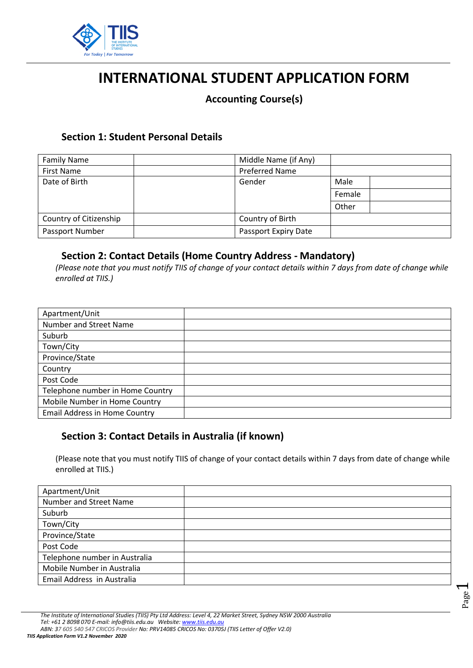

# **INTERNATIONAL STUDENT APPLICATION FORM**

#### **Accounting Course(s)**

#### **Section 1: Student Personal Details**

| <b>Family Name</b>     | Middle Name (if Any)  |        |
|------------------------|-----------------------|--------|
| <b>First Name</b>      | <b>Preferred Name</b> |        |
| Date of Birth          | Gender                | Male   |
|                        |                       | Female |
|                        |                       | Other  |
| Country of Citizenship | Country of Birth      |        |
| Passport Number        | Passport Expiry Date  |        |

## **Section 2: Contact Details (Home Country Address - Mandatory)**

*(Please note that you must notify TIIS of change of your contact details within 7 days from date of change while enrolled at TIIS.)* 

| Apartment/Unit                       |  |
|--------------------------------------|--|
| Number and Street Name               |  |
| Suburb                               |  |
| Town/City                            |  |
| Province/State                       |  |
| Country                              |  |
| Post Code                            |  |
| Telephone number in Home Country     |  |
| Mobile Number in Home Country        |  |
| <b>Email Address in Home Country</b> |  |

#### **Section 3: Contact Details in Australia (if known)**

(Please note that you must notify TIIS of change of your contact details within 7 days from date of change while enrolled at TIIS.)

| Apartment/Unit                |  |
|-------------------------------|--|
| Number and Street Name        |  |
| Suburb                        |  |
| Town/City                     |  |
| Province/State                |  |
| Post Code                     |  |
| Telephone number in Australia |  |
| Mobile Number in Australia    |  |
| Email Address in Australia    |  |

Page  $\overline{\phantom{0}}$ 

*TIIS Application Form V1.2 November 2020*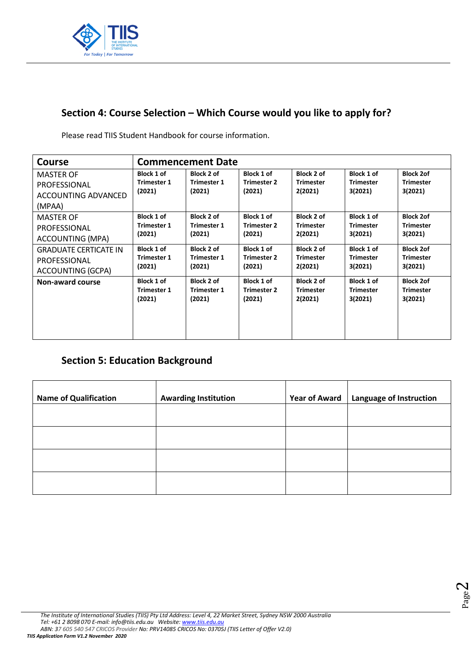

# **Section 4: Course Selection – Which Course would you like to apply for?**

Please read TIIS Student Handbook for course information.

| <b>Course</b>                | <b>Commencement Date</b>     |                              |                              |                             |                             |                             |
|------------------------------|------------------------------|------------------------------|------------------------------|-----------------------------|-----------------------------|-----------------------------|
| <b>MASTER OF</b>             | <b>Block 1 of</b>            | Block 2 of                   | Block 1 of                   | Block 2 of                  | Block 1 of                  | <b>Block 2of</b>            |
| PROFESSIONAL                 | <b>Trimester 1</b>           | <b>Trimester 1</b>           | <b>Trimester 2</b>           | <b>Trimester</b>            | <b>Trimester</b>            | <b>Trimester</b>            |
| ACCOUNTING ADVANCED          | (2021)                       | (2021)                       | (2021)                       | 2(2021)                     | 3(2021)                     | 3(2021)                     |
| (MPAA)                       |                              |                              |                              |                             |                             |                             |
| <b>MASTER OF</b>             | Block 1 of                   | Block 2 of                   | Block 1 of                   | Block 2 of                  | Block 1 of                  | <b>Block 2of</b>            |
| PROFESSIONAL                 | <b>Trimester 1</b>           | <b>Trimester 1</b><br>(2021) | <b>Trimester 2</b><br>(2021) | <b>Trimester</b>            | <b>Trimester</b><br>3(2021) | <b>Trimester</b>            |
| <b>ACCOUNTING (MPA)</b>      | (2021)                       |                              |                              | 2(2021)                     |                             | 3(2021)                     |
| <b>GRADUATE CERTICATE IN</b> | Block 1 of                   | Block 2 of                   | Block 1 of                   | Block 2 of                  | Block 1 of                  | <b>Block 2of</b>            |
| PROFESSIONAL                 | <b>Trimester 1</b>           | <b>Trimester 1</b><br>(2021) | <b>Trimester 2</b>           | <b>Trimester</b><br>2(2021) | <b>Trimester</b><br>3(2021) | <b>Trimester</b><br>3(2021) |
| ACCOUNTING (GCPA)            | (2021)                       |                              | (2021)                       |                             |                             |                             |
| <b>Non-award course</b>      | Block 1 of                   | Block 2 of                   | Block 1 of                   | <b>Block 2 of</b>           | Block 1 of                  | <b>Block 2of</b>            |
|                              | <b>Trimester 1</b><br>(2021) | <b>Trimester 1</b><br>(2021) | <b>Trimester 2</b><br>(2021) | <b>Trimester</b><br>2(2021) | <b>Trimester</b><br>3(2021) | <b>Trimester</b><br>3(2021) |
|                              |                              |                              |                              |                             |                             |                             |
|                              |                              |                              |                              |                             |                             |                             |
|                              |                              |                              |                              |                             |                             |                             |
|                              |                              |                              |                              |                             |                             |                             |

# **Section 5: Education Background**

| <b>Name of Qualification</b> | <b>Awarding Institution</b> | <b>Year of Award</b> | Language of Instruction |
|------------------------------|-----------------------------|----------------------|-------------------------|
|                              |                             |                      |                         |
|                              |                             |                      |                         |
|                              |                             |                      |                         |
|                              |                             |                      |                         |

Page  $\sim$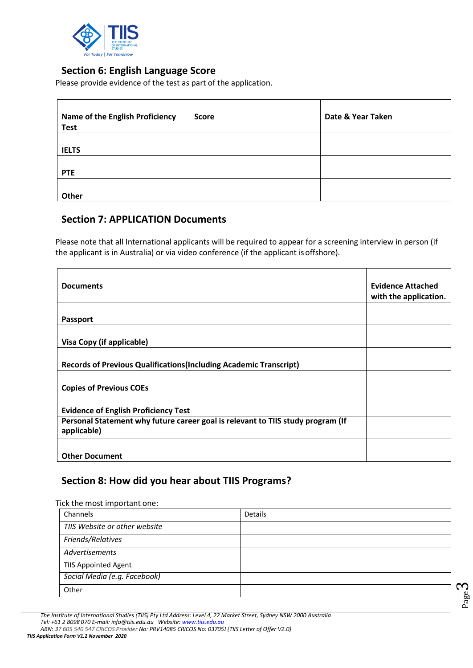

#### **Section 6: English Language Score**

Please provide evidence of the test as part of the application.

| <b>Name of the English Proficiency</b><br><b>Test</b> | <b>Score</b> | Date & Year Taken |
|-------------------------------------------------------|--------------|-------------------|
| <b>IELTS</b>                                          |              |                   |
| <b>PTE</b>                                            |              |                   |
| Other                                                 |              |                   |

#### **Section 7: APPLICATION Documents**

Please note that all International applicants will be required to appear for a screening interview in person (if the applicant is in Australia) or via video conference (if the applicant is offshore).

| <b>Documents</b>                                                                               | <b>Evidence Attached</b><br>with the application. |
|------------------------------------------------------------------------------------------------|---------------------------------------------------|
|                                                                                                |                                                   |
| <b>Passport</b>                                                                                |                                                   |
|                                                                                                |                                                   |
| Visa Copy (if applicable)                                                                      |                                                   |
|                                                                                                |                                                   |
| <b>Records of Previous Qualifications (Including Academic Transcript)</b>                      |                                                   |
|                                                                                                |                                                   |
| <b>Copies of Previous COEs</b>                                                                 |                                                   |
|                                                                                                |                                                   |
| <b>Evidence of English Proficiency Test</b>                                                    |                                                   |
| Personal Statement why future career goal is relevant to TIIS study program (If<br>applicable) |                                                   |
|                                                                                                |                                                   |
| <b>Other Document</b>                                                                          |                                                   |

#### **Section 8: How did you hear about TIIS Programs?**

Tick the most important one:

| Channels                      | <b>Details</b> |
|-------------------------------|----------------|
| TIIS Website or other website |                |
| Friends/Relatives             |                |
| Advertisements                |                |
| <b>TIIS Appointed Agent</b>   |                |
| Social Media (e.g. Facebook)  |                |
| Other                         |                |

Page  $\sim$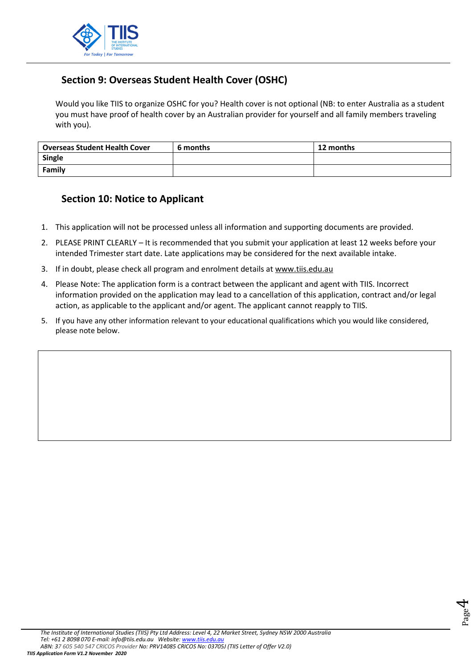

# **Section 9: Overseas Student Health Cover (OSHC)**

Would you like TIIS to organize OSHC for you? Health cover is not optional (NB: to enter Australia as a student you must have proof of health cover by an Australian provider for yourself and all family members traveling with you).

| <b>Overseas Student Health Cover</b> | 6 months | 12 months |
|--------------------------------------|----------|-----------|
| Single                               |          |           |
| Family                               |          |           |

#### **Section 10: Notice to Applicant**

- 1. This application will not be processed unless all information and supporting documents are provided.
- 2. PLEASE PRINT CLEARLY It is recommended that you submit your application at least 12 weeks before your intended Trimester start date. Late applications may be considered for the next available intake.
- 3. If in doubt, please check all program and enrolment details at [www.tiis.edu.au](http://www.tiis.edu.au/)
- 4. Please Note: The application form is a contract between the applicant and agent with TIIS. Incorrect information provided on the application may lead to a cancellation of this application, contract and/or legal action, as applicable to the applicant and/or agent. The applicant cannot reapply to TIIS.
- 5. If you have any other information relevant to your educational qualifications which you would like considered, please note below.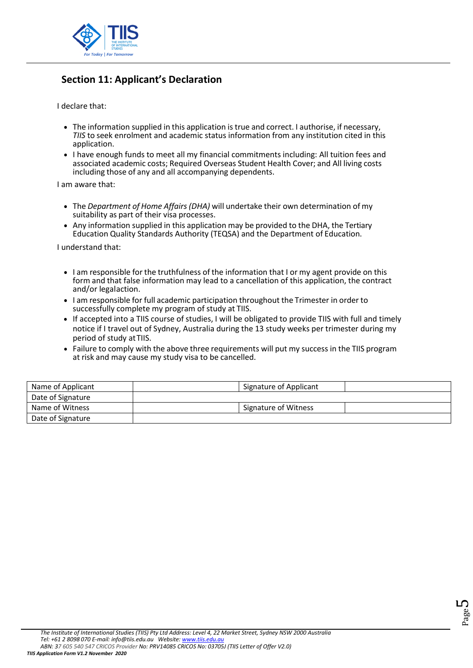

# **Section 11: Applicant's Declaration**

I declare that:

- The information supplied in this application is true and correct. I authorise, if necessary, *TIIS* to seek enrolment and academic status information from any institution cited in this application.
- I have enough funds to meet all my financial commitments including: All tuition fees and associated academic costs; Required Overseas Student Health Cover; and All living costs including those of any and all accompanying dependents.

I am aware that:

- The *Department of Home Affairs (DHA)* will undertake their own determination of my suitability as part of their visa processes.
- Any information supplied in this application may be provided to the DHA, the Tertiary Education Quality Standards Authority (TEQSA) and the Department of Education.

I understand that:

- I am responsible for the truthfulness of the information that I or my agent provide on this form and that false information may lead to a cancellation of this application, the contract and/or legalaction.
- I am responsible for full academic participation throughout the Trimester in order to successfully complete my program of study at TIIS.
- If accepted into a TIIS course of studies, I will be obligated to provide TIIS with full and timely notice if I travel out of Sydney, Australia during the 13 study weeks per trimester during my period of study atTIIS.
- Failure to comply with the above three requirements will put my success in the TIIS program at risk and may cause my study visa to be cancelled.

| Name of Applicant | Signature of Applicant      |  |
|-------------------|-----------------------------|--|
| Date of Signature |                             |  |
| Name of Witness   | <b>Signature of Witness</b> |  |
| Date of Signature |                             |  |